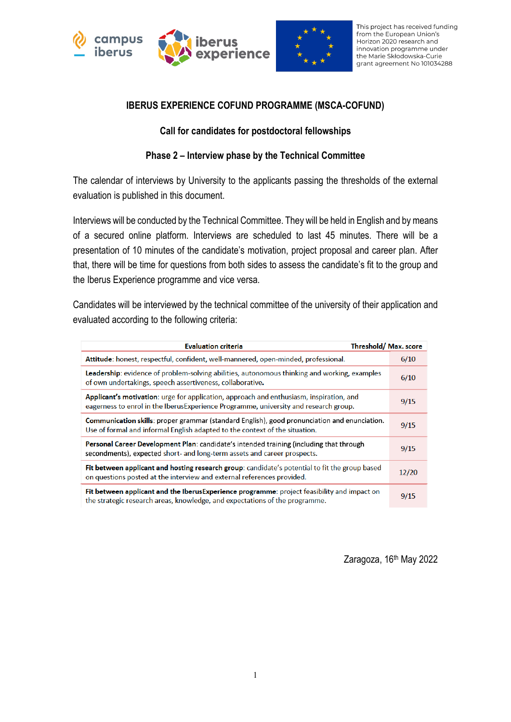



This project has received funding from the European Union's Horizon 2020 research and innovation programme under the Marie Skłodowska-Curie grant agreement No 101034288

### **IBERUS EXPERIENCE COFUND PROGRAMME (MSCA-COFUND)**

#### **Call for candidates for postdoctoral fellowships**

### **Phase 2 – Interview phase by the Technical Committee**

The calendar of interviews by University to the applicants passing the thresholds of the external evaluation is published in this document.

Interviews will be conducted by the Technical Committee. They will be held in English and by means of a secured online platform. Interviews are scheduled to last 45 minutes. There will be a presentation of 10 minutes of the candidate's motivation, project proposal and career plan. After that, there will be time for questions from both sides to assess the candidate's fit to the group and the Iberus Experience programme and vice versa.

Candidates will be interviewed by the technical committee of the university of their application and evaluated according to the following criteria:

| Threshold/Max. score<br><b>Evaluation criteria</b>                                                                                                                              |       |
|---------------------------------------------------------------------------------------------------------------------------------------------------------------------------------|-------|
| Attitude: honest, respectful, confident, well-mannered, open-minded, professional.                                                                                              | 6/10  |
| Leadership: evidence of problem-solving abilities, autonomous thinking and working, examples<br>of own undertakings, speech assertiveness, collaborative.                       | 6/10  |
| Applicant's motivation: urge for application, approach and enthusiasm, inspiration, and<br>eagerness to enrol in the IberusExperience Programme, university and research group. | 9/15  |
| Communication skills: proper grammar (standard English), good pronunciation and enunciation.<br>Use of formal and informal English adapted to the context of the situation.     | 9/15  |
| Personal Career Development Plan: candidate's intended training (including that through<br>secondments), expected short- and long-term assets and career prospects.             | 9/15  |
| Fit between applicant and hosting research group: candidate's potential to fit the group based<br>on questions posted at the interview and external references provided.        | 12/20 |
| Fit between applicant and the IberusExperience programme: project feasibility and impact on<br>the strategic research areas, knowledge, and expectations of the programme.      | 9/15  |

Zaragoza, 16<sup>th</sup> May 2022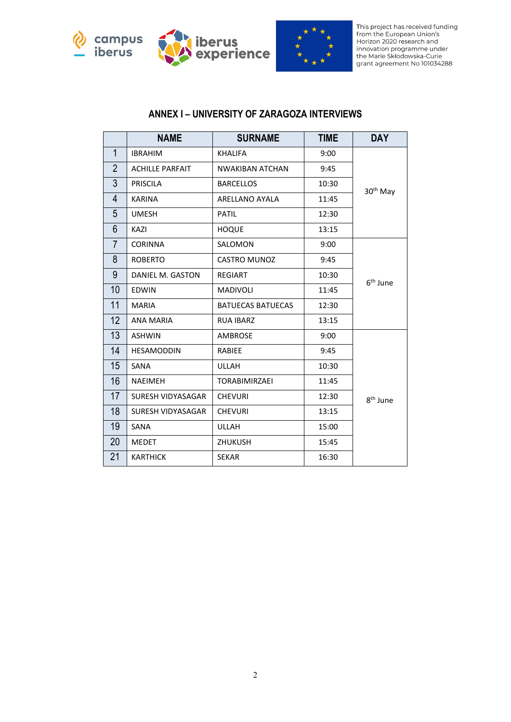





This project has received funding<br>from the European Union's<br>Horizon 2020 research and indizon zozo research and<br>innovation programme under<br>the Marie Skłodowska-Curie<br>grant agreement No 101034288

#### **ANNEX I – UNIVERSITY OF ZARAGOZA INTERVIEWS**

|                | <b>NAME</b>            | <b>SURNAME</b>           | <b>TIME</b> | <b>DAY</b>           |  |
|----------------|------------------------|--------------------------|-------------|----------------------|--|
| $\mathbf 1$    | <b>IBRAHIM</b>         | <b>KHALIFA</b>           | 9:00        |                      |  |
| $\overline{2}$ | <b>ACHILLE PARFAIT</b> | <b>NWAKIBAN ATCHAN</b>   | 9:45        |                      |  |
| 3              | <b>PRISCILA</b>        | <b>BARCELLOS</b>         | 10:30       | 30 <sup>th</sup> May |  |
| 4              | <b>KARINA</b>          | ARELLANO AYALA           | 11:45       |                      |  |
| 5              | <b>UMESH</b>           | <b>PATIL</b>             | 12:30       |                      |  |
| 6              | KAZI                   | <b>HOQUE</b>             | 13:15       |                      |  |
| $\overline{7}$ | <b>CORINNA</b>         | SALOMON                  | 9:00        |                      |  |
| 8              | <b>ROBERTO</b>         | <b>CASTRO MUNOZ</b>      | 9:45        |                      |  |
| 9              | DANIEL M. GASTON       | <b>REGIART</b>           | 10:30       | 6 <sup>th</sup> June |  |
| 10             | <b>EDWIN</b>           | <b>MADIVOLI</b>          | 11:45       |                      |  |
| 11             | <b>MARIA</b>           | <b>BATUECAS BATUECAS</b> | 12:30       |                      |  |
| 12             | <b>ANA MARIA</b>       | <b>RUA IBARZ</b>         | 13:15       |                      |  |
| 13             | <b>ASHWIN</b>          | <b>AMBROSE</b>           | 9:00        |                      |  |
| 14             | <b>HESAMODDIN</b>      | <b>RABIEE</b>            | 9:45        |                      |  |
| 15             | SANA                   | <b>ULLAH</b>             | 10:30       |                      |  |
| 16             | <b>NAEIMEH</b>         | <b>TORABIMIRZAEI</b>     | 11:45       |                      |  |
| 17             | SURESH VIDYASAGAR      | <b>CHEVURI</b>           | 12:30       | 8 <sup>th</sup> June |  |
| 18             | SURESH VIDYASAGAR      | <b>CHEVURI</b>           | 13:15       |                      |  |
| 19             | SANA                   | ULLAH                    | 15:00       |                      |  |
| 20             | <b>MEDET</b>           | <b>ZHUKUSH</b>           | 15:45       |                      |  |
| 21             | <b>KARTHICK</b>        | <b>SEKAR</b>             | 16:30       |                      |  |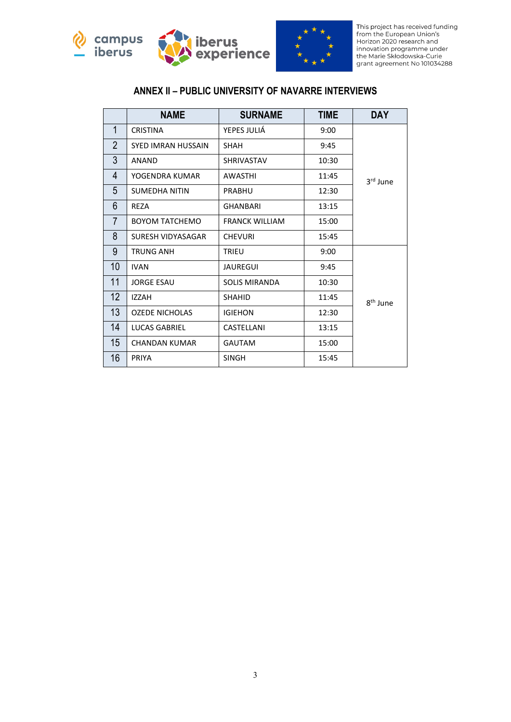



This project has received funding<br>from the European Union's<br>Horizon 2020 research and indizon zozo research and<br>innovation programme under<br>the Marie Skłodowska-Curie<br>grant agreement No 101034288

## **ANNEX II – PUBLIC UNIVERSITY OF NAVARRE INTERVIEWS**

|                 | <b>NAME</b>               | <b>SURNAME</b>        | <b>TIME</b> | <b>DAY</b>           |
|-----------------|---------------------------|-----------------------|-------------|----------------------|
| 1               | <b>CRISTINA</b>           | YEPES JULIÁ           | 9:00        |                      |
| $\overline{2}$  | <b>SYED IMRAN HUSSAIN</b> | <b>SHAH</b>           | 9:45        |                      |
| 3               | ANAND                     | <b>SHRIVASTAV</b>     | 10:30       |                      |
| 4               | YOGENDRA KUMAR            | <b>AWASTHI</b>        | 11:45       | 3 <sup>rd</sup> June |
| 5               | <b>SUMEDHA NITIN</b>      | <b>PRABHU</b>         | 12:30       |                      |
| 6               | <b>REZA</b>               | <b>GHANBARI</b>       | 13:15       |                      |
| $\overline{7}$  | <b>BOYOM TATCHEMO</b>     | <b>FRANCK WILLIAM</b> | 15:00       |                      |
| 8               | SURESH VIDYASAGAR         | <b>CHEVURI</b>        | 15:45       |                      |
| 9               | <b>TRUNG ANH</b>          | <b>TRIEU</b>          | 9:00        |                      |
| 10              | <b>IVAN</b>               | <b>JAUREGUI</b>       | 9:45        |                      |
| 11              | <b>JORGE ESAU</b>         | <b>SOLIS MIRANDA</b>  | 10:30       |                      |
| 12 <sup>2</sup> | <b>IZZAH</b>              | <b>SHAHID</b>         | 11:45       | 8 <sup>th</sup> June |
| 13              | <b>OZEDE NICHOLAS</b>     | <b>IGIEHON</b>        | 12:30       |                      |
| 14              | LUCAS GABRIEL             | CASTELLANI            | 13:15       |                      |
| 15              | <b>CHANDAN KUMAR</b>      | <b>GAUTAM</b>         | 15:00       |                      |
| 16              | PRIYA                     | <b>SINGH</b>          | 15:45       |                      |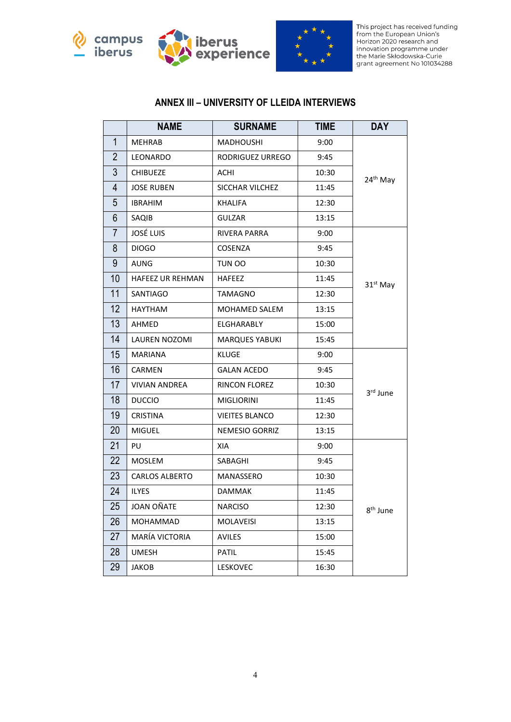





This project has received funding<br>from the European Union's Horizon 2020 research and indizon zozo research and<br>innovation programme under<br>the Marie Skłodowska-Curie<br>grant agreement No 101034288

## **ANNEX III – UNIVERSITY OF LLEIDA INTERVIEWS**

|                | <b>NAME</b>             | <b>SURNAME</b>        | <b>TIME</b> | <b>DAY</b>           |  |
|----------------|-------------------------|-----------------------|-------------|----------------------|--|
| $\mathbf{1}$   | <b>MEHRAB</b>           | <b>MADHOUSHI</b>      | 9:00        |                      |  |
| $\overline{2}$ | LEONARDO                | RODRIGUEZ URREGO      | 9:45        |                      |  |
| 3              | <b>CHIBUEZE</b>         | ACHI                  | 10:30       | 24 <sup>th</sup> May |  |
| 4              | <b>JOSE RUBEN</b>       | SICCHAR VILCHEZ       | 11:45       |                      |  |
| 5              | <b>IBRAHIM</b>          | <b>KHALIFA</b>        | 12:30       |                      |  |
| 6              | SAQIB                   | <b>GULZAR</b>         | 13:15       |                      |  |
| $\overline{7}$ | <b>JOSÉ LUIS</b>        | RIVERA PARRA          | 9:00        |                      |  |
| 8              | <b>DIOGO</b>            | COSENZA               | 9:45        |                      |  |
| 9              | AUNG                    | TUN OO                | 10:30       |                      |  |
| 10             | <b>HAFEEZ UR REHMAN</b> | <b>HAFEEZ</b>         | 11:45       | $31st$ May           |  |
| 11             | SANTIAGO                | <b>TAMAGNO</b>        | 12:30       |                      |  |
| 12             | HAYTHAM                 | MOHAMED SALEM         | 13:15       |                      |  |
| 13             | AHMED                   | <b>ELGHARABLY</b>     | 15:00       |                      |  |
| 14             | <b>LAUREN NOZOMI</b>    | <b>MARQUES YABUKI</b> | 15:45       |                      |  |
| 15             | <b>MARIANA</b>          | <b>KLUGE</b>          | 9:00        |                      |  |
| 16             | CARMEN                  | <b>GALAN ACEDO</b>    | 9:45        |                      |  |
| 17             | <b>VIVIAN ANDREA</b>    | RINCON FLOREZ         | 10:30       | 3rd June             |  |
| 18             | <b>DUCCIO</b>           | <b>MIGLIORINI</b>     | 11:45       |                      |  |
| 19             | <b>CRISTINA</b>         | <b>VIEITES BLANCO</b> | 12:30       |                      |  |
| 20             | <b>MIGUEL</b>           | NEMESIO GORRIZ        | 13:15       |                      |  |
| 21             | PU                      | XIA                   | 9:00        |                      |  |
| 22             | <b>MOSLEM</b>           | SABAGHI               | 9:45        |                      |  |
| 23             | <b>CARLOS ALBERTO</b>   | MANASSERO             | 10:30       |                      |  |
| 24             | <b>ILYES</b>            | <b>DAMMAK</b>         | 11:45       |                      |  |
| 25             | JOAN OÑATE              | <b>NARCISO</b>        | 12:30       | 8 <sup>th</sup> June |  |
| 26             | MOHAMMAD                | MOLAVEISI             | 13:15       |                      |  |
| 27             | MARÍA VICTORIA          | <b>AVILES</b>         | 15:00       |                      |  |
| 28             | <b>UMESH</b>            | <b>PATIL</b>          | 15:45       |                      |  |
| 29             | JAKOB                   | LESKOVEC              | 16:30       |                      |  |